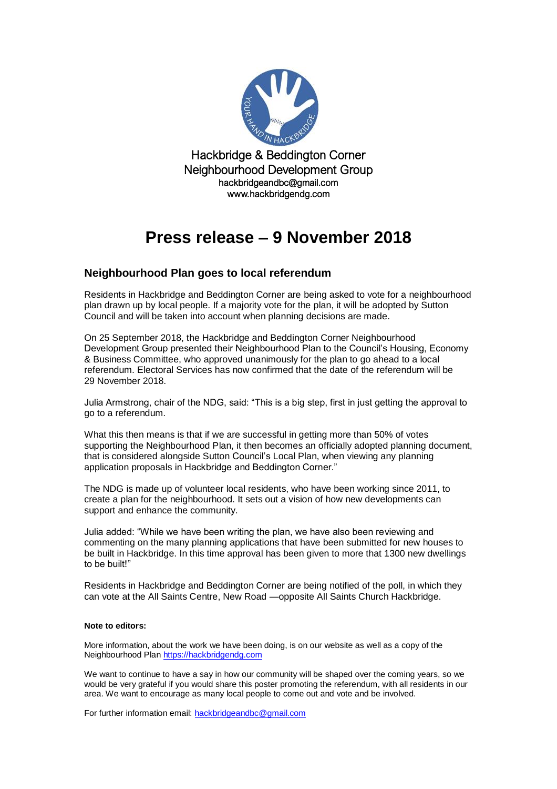

Hackbridge & Beddington Corner Neighbourhood Development Group hackbridgeandbc@gmail.com www.hackbridgendg.com

## **Press release – 9 November 2018**

### **Neighbourhood Plan goes to local referendum**

Residents in Hackbridge and Beddington Corner are being asked to vote for a neighbourhood plan drawn up by local people. If a majority vote for the plan, it will be adopted by Sutton Council and will be taken into account when planning decisions are made.

On 25 September 2018, the Hackbridge and Beddington Corner Neighbourhood Development Group presented their Neighbourhood Plan to the Council's Housing, Economy & Business Committee, who approved unanimously for the plan to go ahead to a local referendum. Electoral Services has now confirmed that the date of the referendum will be 29 November 2018.

Julia Armstrong, chair of the NDG, said: "This is a big step, first in just getting the approval to go to a referendum.

What this then means is that if we are successful in getting more than 50% of votes supporting the Neighbourhood Plan, it then becomes an officially adopted planning document, that is considered alongside Sutton Council's Local Plan, when viewing any planning application proposals in Hackbridge and Beddington Corner."

The NDG is made up of volunteer local residents, who have been working since 2011, to create a plan for the neighbourhood. It sets out a vision of how new developments can support and enhance the community.

Julia added: "While we have been writing the plan, we have also been reviewing and commenting on the many planning applications that have been submitted for new houses to be built in Hackbridge. In this time approval has been given to more that 1300 new dwellings to be built!"

Residents in Hackbridge and Beddington Corner are being notified of the poll, in which they can vote at the All Saints Centre, New Road —opposite All Saints Church Hackbridge.

#### **Note to editors:**

More information, about the work we have been doing, is on our website as well as a copy of the Neighbourhood Plan [https://hackbridgendg.com](https://hackbridgendg.com/)

We want to continue to have a say in how our community will be shaped over the coming years, so we would be very grateful if you would share this poster promoting the referendum, with all residents in our area. We want to encourage as many local people to come out and vote and be involved.

For further information email: [hackbridgeandbc@gmail.com](mailto:hackbridgeandbc@gmail.com)